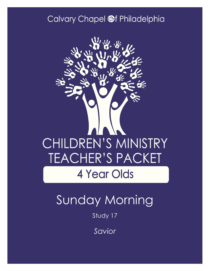#### Calvary Chapel @f Philadelphia



## Sunday Morning

Study 17

*Savior*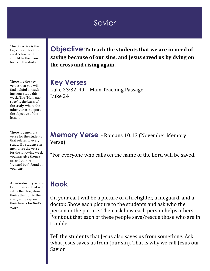#### **Savior**

The Objective is the key concept for this week's lesson. It should be the main focus of the study.

These are the key verses that you will find helpful in teaching your study this week. The "Main passage" is the basis of the study, where the other verses support the objective of the lesson.

There is a memory verse for the students that relates to every study. If a student can memorize the verse for the following week you may give them a prize from the "reward box" found on your cart.

An introductory activity or question that will settle the class, draw their attention to the study and prepare their hearts for God's Word.

**Objective To teach the students that we are in need of saving because of our sins, and Jesus saved us by dying on the cross and rising again.**

**Key Verses** Luke 23:32-49—Main Teaching Passage Luke 24

**Memory Verse** - Romans 10:13 (November Memory Verse)

"For everyone who calls on the name of the Lord will be saved."

#### **Hook**

On your cart will be a picture of a firefighter, a lifeguard, and a doctor. Show each picture to the students and ask who the person in the picture. Then ask how each person helps others. Point out that each of these people save/rescue those who are in trouble.

Tell the students that Jesus also saves us from something. Ask what Jesus saves us from (our sin). That is why we call Jesus our Savior.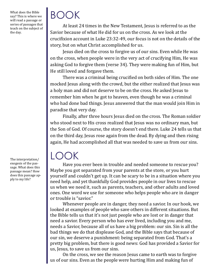What does the Bible say? This is where we will read a passage or series of passages that teach on the subject of the day.

### BOOK

At least 24 times in the New Testament, Jesus is referred to as the Savior because of what He did for us on the cross. As we look at the crucifixion account in Luke 23:32-49, our focus is not on the details of the story, but on what Christ accomplished for us.

Jesus died on the cross to forgive us of our sins. Even while He was on the cross, when people were in the very act of crucifying Him, He was asking God to forgive them (verse 34). They were making fun of Him, but He still loved and forgave them.

There was a criminal being crucified on both sides of Him. The one mocked Jesus along with the crowd, but the either realized that Jesus was a holy man and did not deserve to be on the cross. He asked Jesus to remember him when he got to heaven, even though he was a criminal who had done bad things. Jesus answered that the man would join Him in paradise that very day.

Finally, after three hours Jesus died on the cross. The Roman soldier who stood next to His cross realized that Jesus was no ordinary man, but the Son of God. Of course, the story doesn't end there. Luke 24 tells us that on the third day, Jesus rose again from the dead. By dying and then rising again, He had accomplished all that was needed to save us from our sins.

### LOOK

Have you ever been in trouble and needed someone to rescue you? Maybe you got separated from your parents at the store, or you hurt yourself and couldn't get up. It can be scary to be in a situation where you need help, and yet thankfully God provides people in our lives to rescue us when we need it, such as parents, teachers, and other adults and loved ones. One word we use for someone who helps people who are in danger or trouble is "savior."

Whenever people are in danger, they need a savior. In our hook, we looked at examples of people who save others in different situations. But the Bible tells us that it's not just people who are lost or in danger that need a savior. Every person who has ever lived, including you and me, needs a Savior, because all of us have a big problem: our sin. Sin is all the bad things we do that displease God, and the Bible says that because of our sin, we deserve a punishment: being separated from God. That's a pretty big problem, but there is good news: God has provided a Savior for us, Jesus, to save us from our sins.

On the cross, we see the reason Jesus came to earth was to forgive us of our sins. Even as the people were hurting Him and making fun of

The interpretation/ exegesis of the passage. What does this passage mean? How does this passage apply to my life?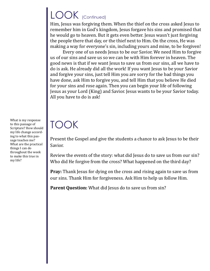### LOOK (Continued)

Him, Jesus was forgiving them. When the thief on the cross asked Jesus to remember him in God's kingdom, Jesus forgave his sins and promised that he would go to heaven. But it gets even better. Jesus wasn't just forgiving the people there that day, or the thief next to Him. On the cross, He was making a way for everyone's sin, including yours and mine, to be forgiven!

Every one of us needs Jesus to be our Savior. We need Him to forgive us of our sins and save us so we can be with Him forever in heaven. The good news is that if we want Jesus to save us from our sins, all we have to do is ask. He already did all the work! If you want Jesus to be your Savior and forgive your sins, just tell Him you are sorry for the bad things you have done, ask Him to forgive you, and tell Him that you believe He died for your sins and rose again. Then you can begin your life of following Jesus as your Lord (King) and Savior. Jesus wants to be your Savior today. All you have to do is ask!

# TOOK

Present the Gospel and give the students a chance to ask Jesus to be their Savior.

Review the events of the story: what did Jesus do to save us from our sin? Who did He forgive from the cross? What happened on the third day?

**Pray:** Thank Jesus for dying on the cross and rising again to save us from our sins. Thank Him for forgiveness. Ask Him to help us follow Him.

**Parent Question:** What did Jesus do to save us from sin?

What is my response to this passage of Scripture? How should my life change according to what this passage teaches me? What are the practical things I can do throughout the week to make this true in my life?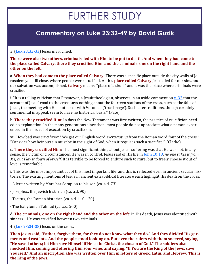### FURTHER STUDY

#### **Commentary on Luke 23:32-49 by David Guzik**

#### 3. [\(Luk 23:32](https://www.blueletterbible.org/kjv/luke/23/32-33/s_996032)-33) Jesus is crucified.

**There were also two others, criminals, led with Him to be put to death. And when they had come to the place called Calvary, there they crucified Him, and the criminals, one on the right hand and the other on the left.**

a. **When they had come to the place called Calvary**: There was a specific place outside the city walls of Jerusalem yet still close, where people were crucified. At this **place called Calvary** Jesus died for our sins, and our salvation was accomplished. **Calvary** means, "place of a skull," and it was the place where criminals were crucified.

i. "It is a telling criticism that Fitzmeyer, a Jesuit theologian, observes in an aside comment on  $\overline{v}$ . 32 that the account of Jesus' road to the cross says nothing about the fourteen stations of the cross, such as the falls of Jesus, the meeting with His mother or with Veronica ('true image'). Such later traditions, though certainly sentimental in appeal, seem to have no historical basis." (Pate)

b. **There they crucified Him**: In days the New Testament was first written, the practice of crucifixion needed no explanation. In the many generations since then, most people do not appreciate what a person experienced in the ordeal of execution by crucifixion.

vii. How bad was crucifixion? We get our English word *excruciating* from the Roman word "out of the cross." "Consider how heinous sin must be in the sight of God, when it requires such a sacrifice!" (Clarke)

c. **There they crucified Him**: The most significant thing about Jesus' suffering was that He was not, in any sense, the victim of circumstances. He was in control. Jesus said of His life in [John 10:18,](https://www.blueletterbible.org/kjv/john/10/18/s_1007018) *no one takes it from Me, but I lay it down of Myself*. It is terrible to be forced to endure such torture, but to freely choose it out of love is remarkable.

i. This was the most important act of this most important life, and this is reflected even in ancient secular histories. The existing mentions of Jesus in ancient extrabiblical literature each highlight His death on the cross.

· A letter written by Mara bar Serapion to his son (ca. a.d. 73)

- · Josephus, the Jewish historian (ca. a.d. 90)
- · Tacitus, the Roman historian (ca. a.d. 110-120)
- · The Babylonian Talmud (ca. a.d. 200)

d. **The criminals, one on the right hand and the other on the left**: In His death, Jesus was identified with sinners – He was crucified between two criminals.

4. [\(Luk 23:34](https://www.blueletterbible.org/kjv/luke/23/34-38/s_996034)-38) Jesus on the cross.

**Then Jesus said, "Father, forgive them, for they do not know what they do." And they divided His garments and cast lots. And the people stood looking on. But even the rulers with them sneered, saying, "He saved others; let Him save Himself if He is the Christ, the chosen of God." The soldiers also mocked Him, coming and offering Him sour wine, and saying, "If You are the King of the Jews, save Yourself." And an inscription also was written over Him in letters of Greek, Latin, and Hebrew: This is the King of the Jews.**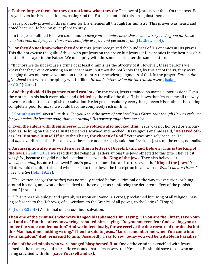a. **Father, forgive them, for they do not know what they do**: The love of Jesus never fails. On the cross, He prayed even for His executioners, asking God the Father to not hold this sin against them.

i. Jesus probably prayed in this manner for His enemies all through His ministry. This prayer was heard and noted because He had no quiet place to pray.

ii. In this Jesus fulfilled His own command to *love your enemies, bless those who curse you, do good for those who hate you, and pray for those who spitefully use you and persecute you* ([Matthew 5:44\)](https://www.blueletterbible.org/kjv/matthew/5/44/s_934044).

b. **For they do not know what they do**: In this, Jesus recognized the blindness of His enemies in His prayer. This did not excuse the guilt of those who put Jesus on the cross; but Jesus set His enemies in the best possible light in His prayer to the Father. We must pray with the same heart, after the same pattern.

i. "If ignorance do not excuse a crime, it at least diminishes the atrocity of it. However, these persons well knew that they were crucifying an *innocent* man; but they did not know that, by this act of theirs, they were bringing down on themselves and on their country the heaviest judgments of God. In the prayer, *Father, forgive them*! that word of prophecy was fulfilled, *He made intercession for the transgressors*, [Isaiah](https://www.blueletterbible.org/kjv/isaiah/53/12/s_732012)  [53:12](https://www.blueletterbible.org/kjv/isaiah/53/12/s_732012)." (Clarke)

c. **And they divided His garments and cast lots**: On the cross, Jesus retained no material possessions. Even the clothes on his back were taken and **divided** by the roll of the dice. This shows that Jesus came all the way down the ladder to accomplish our salvation. He let go of absolutely everything – even His clothes – becoming completely poor for us, so we could become completely rich in Him.

i. [2 Corinthians 8:9](https://www.blueletterbible.org/kjv/2corinthians/8/9/s_1086009) says it like this: *For you know the grace of our Lord Jesus Christ, that though He was rich, yet for your sakes He became poor, that you through His poverty might become rich.*

d. **Even the rulers with them sneered… The soldiers also mocked Him**: Jesus was not honored or encouraged as He hung on the cross. Instead He was scorned and mocked. His religious enemies said, **"He saved others; let Him save Himself if He is the Christ, the chosen of God."** Yet it was precisely because He did *not* save Himself that He can save others. It could be rightly said that *love* kept Jesus on the cross, not nails.

e. **An inscription also was written over Him in letters of Greek, Latin, and Hebrew: This is the King of the Jews**: In [John 19:21](https://www.blueletterbible.org/kjv/john/19/21/s_1016021) we read that the religious leaders among the Jews objected to this title. They felt it was *false*, because they did not believe that Jesus was **the King of the Jews**. They also believed it was *demeaning*, because it showed Rome's power to humiliate and torture even the "**King of the Jews**." Yet Pilate would not alter this, and when asked to take down the inscription he answered, *What I have written, I have written* [\(John 19:22\)](https://www.blueletterbible.org/kjv/john/19/22/s_1016022).

i. "The written *charge* (or *titulus*) was normally carried before a criminal on the way to execution, or hung around his neck, and would then be fixed to the cross, thus reinforcing the deterrent effect of the punishment." (France)

ii. "This venerable eulogy and epitaph, set upon our Saviour's cross, proclaimed him King of all religion, having reference to the Hebrews; of all wisdom, to the Greeks; of all power, to the Latins." (Trapp)

5.  $(Luk 23:39-43)$  $(Luk 23:39-43)$  $(Luk 23:39-43)$  A criminal on a cross finds salvation.

**Then one of the criminals who were hanged blasphemed Him, saying, "If You are the Christ, save Yourself and us." But the other, answering, rebuked him, saying, "Do you not even fear God, seeing you are under the same condemnation? And we indeed justly, for we receive the due reward of our deeds; but this Man has done nothing wrong." Then he said to Jesus, "Lord, remember me when You come into Your kingdom." And Jesus said to him, "Assuredly, I say to you, today you will be with Me in Paradise."**

a. **One of the criminals who were hanged blasphemed Him**: One of the criminals crucified with Jesus joined in the mockery and scorn. He reasoned that if Jesus *were* the Messiah, He should save those who are being crucified with Him (**save Yourself and us**).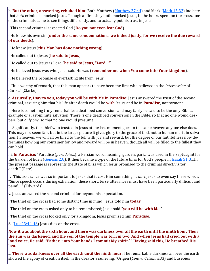b. **But the other, answering, rebuked him**: Both Matthew ([Matthew 27:44\)](https://www.blueletterbible.org/kjv/matthew/27/44/s_956044) and Mark ([Mark 15:32\)](https://www.blueletterbible.org/kjv/mark/15/32/s_972032) indicate that *both* criminals mocked Jesus. Though at first they both mocked Jesus, in the hours spent on the cross, one of the criminals came to see things differently, and to actually put his trust in Jesus.

· This second criminal respected God (**Do you not even fear God**).

· He knew his own sin (**under the same condemnation... we indeed justly, for we receive the due reward of our deeds**).

- · He knew Jesus (**this Man has done nothing wrong**).
- · He called out to Jesus (**he said to Jesus**).
- · He called out to Jesus as Lord (**he said to Jesus, "Lord..."**).
- · He believed Jesus was who Jesus said He was (**remember me when You come into Your kingdom**).
- · He believed the promise of everlasting life from Jesus.

i. "It is worthy of remark, that this man appears to have been the first who believed in the *intercession* of Christ." (Clarke)

c. **Assuredly, I say to you, today you will be with Me in Paradise**: Jesus answered the trust of the second criminal, assuring him that his life after death would be **with** Jesus, and be in **Paradise**, not torment.

i. Here is something truly remarkable: a deathbed conversion, and may fairly be said to be the only Biblical example of a last-minute salvation. There *is* one deathbed conversion in the Bible, so that no one would despair; but *only one*, so that no one would presume.

ii. Significantly, this thief who trusted in Jesus at the last moment goes to the same heaven anyone else does. This may not seem fair, but in the larger picture it gives glory to the grace of God, not to human merit in salvation. In heaven, we will all be filled to the full with joy and reward; but the degree of our faithfulness now determines how big our container for joy and reward will be in heaven, though all will be filled to the fullest they can hold.

iii. **In Paradise**: "Paradise (*paradeisos*), a Persian word meaning 'garden, park,' was used in the Septuagint for the Garden of Eden ([Genesis 2:8\).](https://www.blueletterbible.org/kjv/genesis/2/8/s_2008) It then became a type of the future bliss for God's people in [Isaiah 51:3](https://www.blueletterbible.org/kjv/isaiah/51/3/s_730003)…In the present passage is represents the state of bliss which Jesus promised to the criminal directly after death." (Pate)

iv. This assurance was so important to Jesus that it cost Him something. It *hurt* Jesus to even say these words. "Since speech occurs during exhalation, these short, terse utterances must have been particularly difficult and painful." (Edwards)

v. Jesus answered the second criminal far beyond his expectation.

- · The thief on the cross had some distant time in mind; Jesus told him **today**.
- · The thief on the cross asked only to be remembered; Jesus said "**you will be with Me**."
- · The thief on the cross looked only for a kingdom; Jesus promised him **Paradise**.
- 6.  $(\underline{\text{Luk } 23:44-46})$  Jesus dies on the cross.

**Now it was about the sixth hour, and there was darkness over all the earth until the ninth hour. Then the sun was darkened, and the veil of the temple was torn in two. And when Jesus had cried out with a loud voice, He said, "Father, 'into Your hands I commit My spirit.' " Having said this, He breathed His last.**

a. **There was darkness over all the earth until the ninth hour**: The remarkable darkness all over the earth showed the agony of creation itself in the Creator's suffering. "Origen (*Contra Celsus*, ii,33) and Eusebius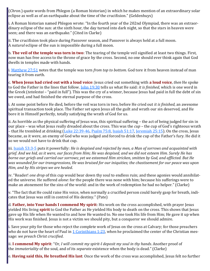(*Chron.*) quote words from Phlegon (a Roman historian) in which he makes mention of an extraordinary solar eclipse as well as of an earthquake about the time of the crucifixion." (Geldenhuys)

i. A Roman historian named Phlegon wrote: "In the fourth year of the 202nd Olympiad, there was an extraordinary eclipse of the sun: at the sixth hour, the day turned into dark night, so that the stars in heaven were seen; and there was an earthquake." (Cited in Clarke)

ii. The crucifixion took place during Passover season, and Passover is always held at a full moon. A *natural* eclipse of the sun is impossible during a full moon.

b. **The veil of the temple was torn in two**: The tearing of the temple veil signified at least two things. First, now man has free access to the throne of grace by the cross. Second, no one should ever think again that God dwells in temples made with hands.

i. [Matthew 27:51](https://www.blueletterbible.org/kjv/matthew/27/51/s_956051) notes that the temple was torn *from top to bottom*. God tore it from heaven instead of man tearing it from earth.

c. **When Jesus had cried out with a loud voice**: Jesus cried out something with **a loud voice**, *then* He spoke to God the Father in the lines that follow. [John 19:30](https://www.blueletterbible.org/kjv/john/19/30/s_1016030) tells us what He said: *it is finished*, which is one word in the Greek (*tetelestai* – "paid in full"). This was the cry of a winner, because Jesus had paid in full the debt of sin we owed, and had finished the eternal purpose of the cross.

i. At some point before He died, before the veil was torn in two, before He cried out *it is finished*, an awesome spiritual transaction took place. The Father set upon Jesus all the guilt and wrath our sin deserved, and He bore it in Himself perfectly, totally satisfying the wrath of God for us.

ii. As horrible as the physical suffering of Jesus was, this spiritual suffering – the act of being judged for sin in our place – was what Jesus really dreaded about the cross. This was the *cup* – the cup of God's righteous wrath – that He trembled at drinking ([Luke 22:39](https://www.blueletterbible.org/kjv/luke/22/39-46/s_995039)-46, [Psalm 75:8,](https://www.blueletterbible.org/kjv/psalms/75/8/s_553008) [Isaiah 51:17,](https://www.blueletterbible.org/kjv/isaiah/51/17/s_730017) [Jeremiah 25:15\)](https://www.blueletterbible.org/kjv/jeremiah/25/15/s_770015). On the cross, Jesus became, as it were, an enemy of God who was judged and forced to drink the cup of the Father's fury. He did it so we would not have to drink that cup.

iii. [Isaiah 53:3](https://www.blueletterbible.org/kjv/isaiah/53/3-5/s_732003)-5 puts it powerfully: *He is despised and rejected by men, a Man of sorrows and acquainted with grief. And we hid, as it were, our faces from Him; He was despised, and we did not esteem Him. Surely He has borne our griefs and carried our sorrows; yet we esteemed Him stricken, smitten by God, and afflicted. But He was wounded for our transgressions, He was bruised for our iniquities; the chastisement for our peace was upon Him, and by His stripes we are healed*.

iv. "Reader! *one drop* of this cup would bear down thy soul to endless ruin; and these agonies would annihilated the universe. He suffered *alone*: for the people there was none with him; because his sufferings were to make an atonement for the sins of the world: and in the work of redemption he had no helper." (Clarke)

v. "The fact that He could raise His voice, when normally a crucified person could barely gasp for breath, indicates that Jesus was still in control of His destiny." (Pate)

d. **Father, into Your hands I commend My spirit**: His work on the cross accomplished, with prayer Jesus yielded His living **spirit** to God the Father as He yielded His body to death on the cross. This shows that Jesus gave up His life when He wanted to and how He wanted to. No one took His life from Him; He gave it up when His work was finished. Jesus is not a victim we should pity, but a conqueror we should admire.

i. Save your pity for those who reject the complete work of Jesus on the cross at Calvary; for those preachers who do not have the heart of Paul in  $1$  Corinthians 1:23, when he proclaimed the center of the Christian message: *we preach Christ crucified*.

ii. **I commend My spirit**: "Or, *I will commit my spirit-I deposit my soul in thy hands*. Another proof of the *immateriality* of the soul, and of its *separate* existence when the body is dead." (Clarke)

e. **Having said this, He breathed His last**: Once the work of the cross was accomplished, Jesus felt no further